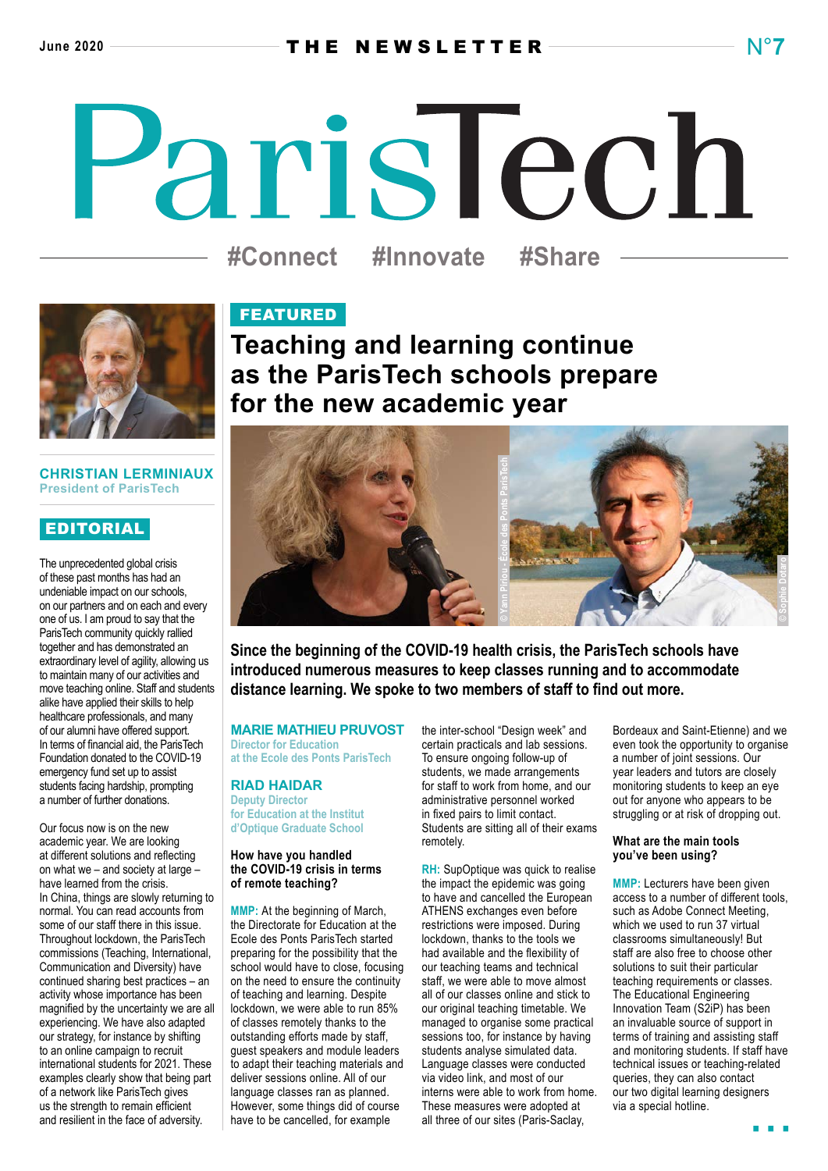# ParisTech **#Connect #Innovate #Share**

# **CHRISTIAN LERMINIAUX President of ParisTech**

# EDITORIAL

The unprecedented global crisis of these past months has had an undeniable impact on our schools, on our partners and on each and every one of us. I am proud to say that the ParisTech community quickly rallied together and has demonstrated an extraordinary level of agility, allowing us to maintain many of our activities and move teaching online. Staff and students alike have applied their skills to help healthcare professionals, and many of our alumni have offered support. In terms of financial aid, the ParisTech Foundation donated to the COVID-19 emergency fund set up to assist students facing hardship, prompting a number of further donations.

Our focus now is on the new academic year. We are looking at different solutions and reflecting on what we – and society at large – have learned from the crisis. In China, things are slowly returning to normal. You can read accounts from some of our staff there in this issue. Throughout lockdown, the ParisTech commissions (Teaching, International, Communication and Diversity) have continued sharing best practices – an activity whose importance has been magnified by the uncertainty we are all experiencing. We have also adapted our strategy, for instance by shifting to an online campaign to recruit international students for 2021. These examples clearly show that being part of a network like ParisTech gives us the strength to remain efficient and resilient in the face of adversity.

# FEATURED

**Teaching and learning continue as the ParisTech schools prepare for the new academic year**



**Since the beginning of the COVID-19 health crisis, the ParisTech schools have introduced numerous measures to keep classes running and to accommodate distance learning. We spoke to two members of staff to find out more.**

# **MARIE MATHIEU PRUVOST**

**Director for Education at the Ecole des Ponts ParisTech**

**RIAD HAIDAR Deputy Director for Education at the Institut d'Optique Graduate School**

# **How have you handled the COVID-19 crisis in terms of remote teaching?**

**MMP:** At the beginning of March, the Directorate for Education at the Ecole des Ponts ParisTech started preparing for the possibility that the school would have to close, focusing on the need to ensure the continuity of teaching and learning. Despite lockdown, we were able to run 85% of classes remotely thanks to the outstanding efforts made by staff, guest speakers and module leaders to adapt their teaching materials and deliver sessions online. All of our language classes ran as planned. However, some things did of course have to be cancelled, for example

the inter-school "Design week" and certain practicals and lab sessions. To ensure ongoing follow-up of students, we made arrangements for staff to work from home, and our administrative personnel worked in fixed pairs to limit contact. Students are sitting all of their exams remotely.

**RH:** SupOptique was quick to realise the impact the epidemic was going to have and cancelled the European ATHENS exchanges even before restrictions were imposed. During lockdown, thanks to the tools we had available and the flexibility of our teaching teams and technical staff, we were able to move almost all of our classes online and stick to our original teaching timetable. We managed to organise some practical sessions too, for instance by having students analyse simulated data. Language classes were conducted via video link, and most of our interns were able to work from home. These measures were adopted at all three of our sites (Paris-Saclay,

Bordeaux and Saint-Etienne) and we even took the opportunity to organise a number of joint sessions. Our year leaders and tutors are closely monitoring students to keep an eye out for anyone who appears to be struggling or at risk of dropping out.

# **What are the main tools you've been using?**

**MMP:** Lecturers have been given access to a number of different tools, such as Adobe Connect Meeting, which we used to run 37 virtual classrooms simultaneously! But staff are also free to choose other solutions to suit their particular teaching requirements or classes. The Educational Engineering Innovation Team (S2iP) has been an invaluable source of support in terms of training and assisting staff and monitoring students. If staff have technical issues or teaching-related queries, they can also contact our two digital learning designers via a special hotline.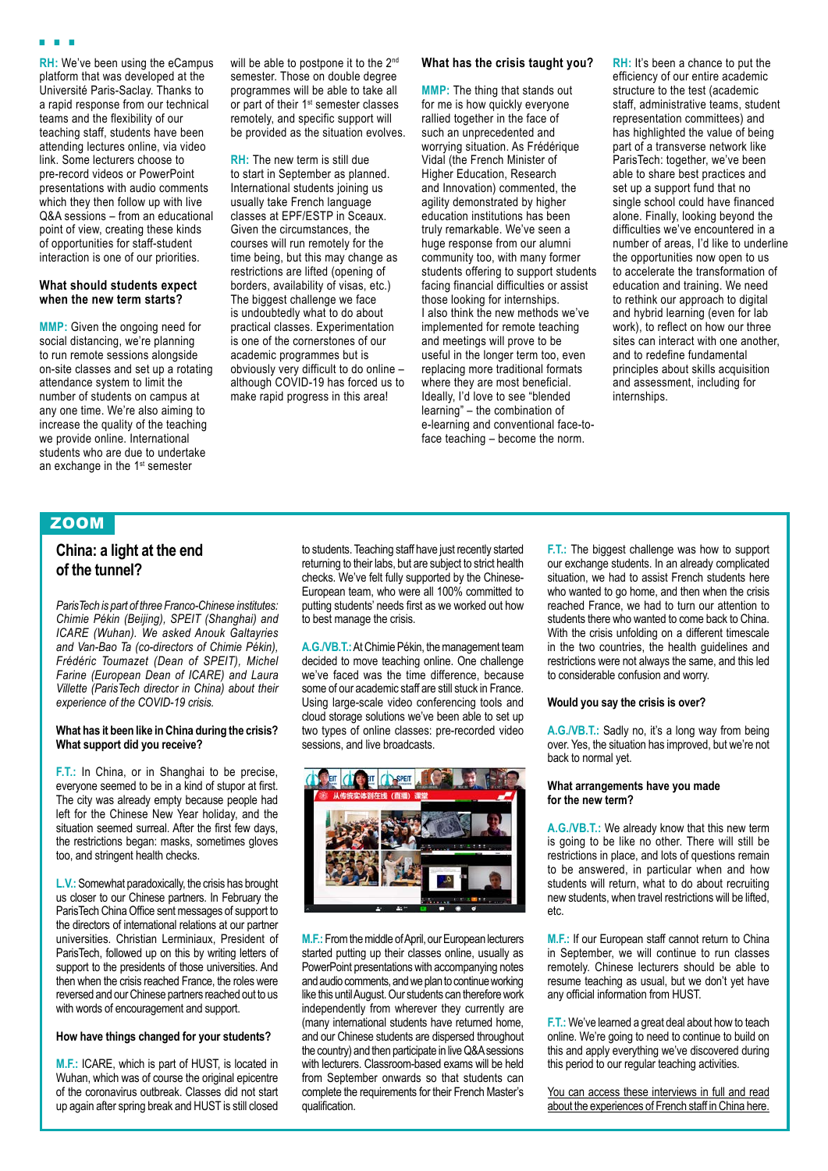**RH:** We've been using the eCampus platform that was developed at the Université Paris-Saclay. Thanks to a rapid response from our technical teams and the flexibility of our teaching staff, students have been attending lectures online, via video link. Some lecturers choose to pre-record videos or PowerPoint presentations with audio comments which they then follow up with live Q&A sessions – from an educational point of view, creating these kinds of opportunities for staff-student interaction is one of our priorities.

# **What should students expect when the new term starts?**

**MMP:** Given the ongoing need for social distancing, we're planning to run remote sessions alongside on-site classes and set up a rotating attendance system to limit the number of students on campus at any one time. We're also aiming to increase the quality of the teaching we provide online. International students who are due to undertake an exchange in the 1<sup>st</sup> semester

will be able to postpone it to the 2<sup>nd</sup> semester. Those on double degree programmes will be able to take all or part of their 1<sup>st</sup> semester classes remotely, and specific support will be provided as the situation evolves.

**RH:** The new term is still due to start in September as planned. International students joining us usually take French language classes at EPF/ESTP in Sceaux. Given the circumstances, the courses will run remotely for the time being, but this may change as restrictions are lifted (opening of borders, availability of visas, etc.) The biggest challenge we face is undoubtedly what to do about practical classes. Experimentation is one of the cornerstones of our academic programmes but is obviously very difficult to do online – although COVID-19 has forced us to make rapid progress in this area!

# **What has the crisis taught you?**

**MMP:** The thing that stands out for me is how quickly everyone rallied together in the face of such an unprecedented and worrying situation. As Frédérique Vidal (the French Minister of Higher Education, Research and Innovation) commented, the agility demonstrated by higher education institutions has been truly remarkable. We've seen a huge response from our alumni community too, with many former students offering to support students facing financial difficulties or assist those looking for internships. I also think the new methods we've implemented for remote teaching and meetings will prove to be useful in the longer term too, even replacing more traditional formats where they are most beneficial. Ideally, I'd love to see "blended learning" – the combination of e-learning and conventional face-toface teaching – become the norm.

**RH:** It's been a chance to put the efficiency of our entire academic structure to the test (academic staff, administrative teams, student representation committees) and has highlighted the value of being part of a transverse network like ParisTech: together, we've been able to share best practices and set up a support fund that no single school could have financed alone. Finally, looking beyond the difficulties we've encountered in a number of areas, I'd like to underline the opportunities now open to us to accelerate the transformation of education and training. We need to rethink our approach to digital and hybrid learning (even for lab work), to reflect on how our three sites can interact with one another. and to redefine fundamental principles about skills acquisition and assessment, including for internships.

# ZOOM

# **China: a light at the end of the tunnel?**

*ParisTech is part of three Franco-Chinese institutes: Chimie Pékin (Beijing), SPEIT (Shanghai) and ICARE (Wuhan). We asked Anouk Galtayries and Van-Bao Ta (co-directors of Chimie Pékin), Frédéric Toumazet (Dean of SPEIT), Michel Farine (European Dean of ICARE) and Laura Villette (ParisTech director in China) about their experience of the COVID-19 crisis.*

### **What has it been like in China during the crisis? What support did you receive?**

**F.T.:** In China, or in Shanghai to be precise, everyone seemed to be in a kind of stupor at first. The city was already empty because people had left for the Chinese New Year holiday, and the situation seemed surreal. After the first few days, the restrictions began: masks, sometimes gloves too, and stringent health checks.

**L.V.:** Somewhat paradoxically, the crisis has brought us closer to our Chinese partners. In February the ParisTech China Office sent messages of support to the directors of international relations at our partner universities. Christian Lerminiaux, President of ParisTech, followed up on this by writing letters of support to the presidents of those universities. And then when the crisis reached France, the roles were reversed and our Chinese partners reached out to us with words of encouragement and support.

# **How have things changed for your students?**

**M.F.:** ICARE, which is part of HUST, is located in Wuhan, which was of course the original epicentre of the coronavirus outbreak. Classes did not start up again after spring break and HUST is still closed to students. Teaching staff have just recently started returning to their labs, but are subject to strict health checks. We've felt fully supported by the Chinese-European team, who were all 100% committed to putting students' needs first as we worked out how to best manage the crisis.

**A.G./VB.T.:** At Chimie Pékin, the management team decided to move teaching online. One challenge we've faced was the time difference, because some of our academic staff are still stuck in France. Using large-scale video conferencing tools and cloud storage solutions we've been able to set up two types of online classes: pre-recorded video sessions, and live broadcasts.



**M.F.:** From the middle of April, our European lecturers started putting up their classes online, usually as PowerPoint presentations with accompanying notes and audio comments, and we plan to continue working like this until August. Our students can therefore work independently from wherever they currently are (many international students have returned home, and our Chinese students are dispersed throughout the country) and then participate in live Q&A sessions with lecturers. Classroom-based exams will be held from September onwards so that students can complete the requirements for their French Master's qualification.

**F.T.:** The biggest challenge was how to support our exchange students. In an already complicated situation, we had to assist French students here who wanted to go home, and then when the crisis reached France, we had to turn our attention to students there who wanted to come back to China. With the crisis unfolding on a different timescale in the two countries, the health guidelines and restrictions were not always the same, and this led to considerable confusion and worry.

### **Would you say the crisis is over?**

**A.G./VB.T.:** Sadly no, it's a long way from being over. Yes, the situation has improved, but we're not back to normal yet.

## **What arrangements have you made for the new term?**

**A.G./VB.T.:** We already know that this new term is going to be like no other. There will still be restrictions in place, and lots of questions remain to be answered, in particular when and how students will return, what to do about recruiting new students, when travel restrictions will be lifted, etc.

**M.F.:** If our European staff cannot return to China in September, we will continue to run classes remotely. Chinese lecturers should be able to resume teaching as usual, but we don't yet have any official information from HUST.

**F.T.:** We've learned a great deal about how to teach online. We're going to need to continue to build on this and apply everything we've discovered during this period to our regular teaching activities.

[You can access these interviews in full and read](https://paristech.fr/en/news) [about the experiences of French staff in China here.](https://paristech.fr/en/news)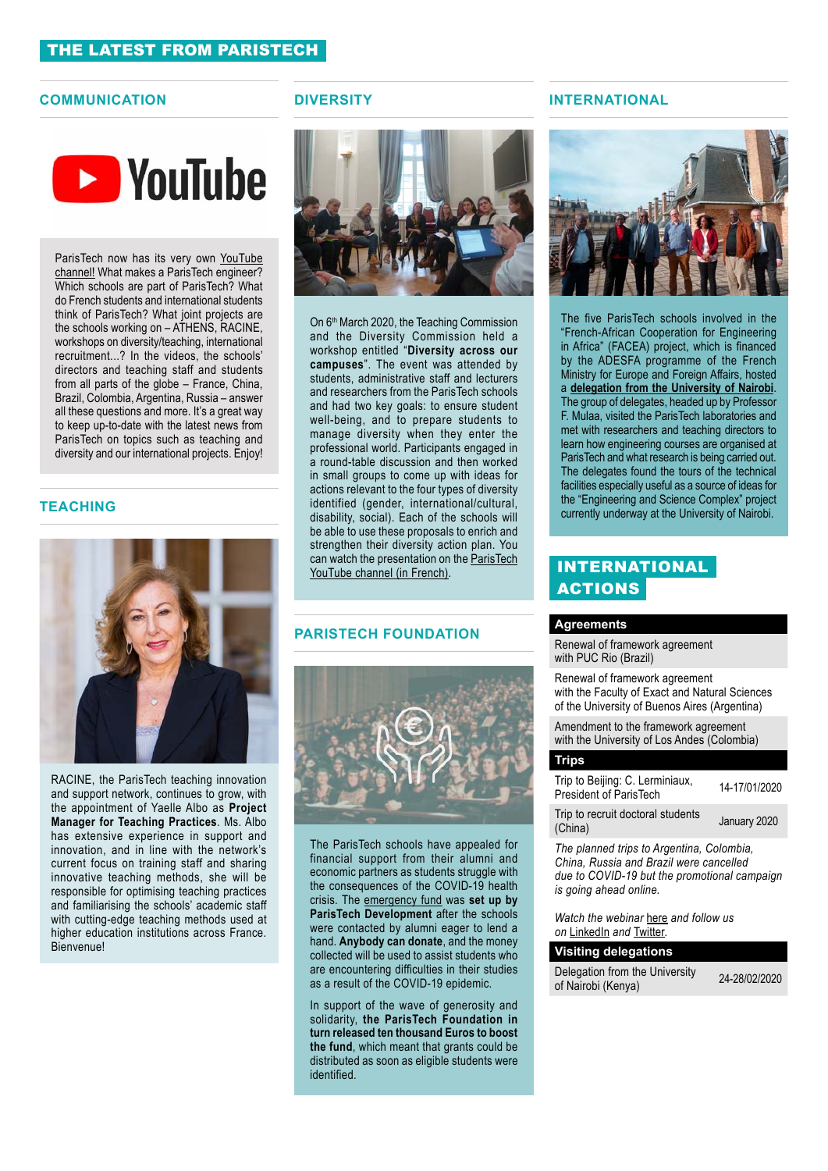# THE LATEST FROM PARISTECH

# **COMMUNICATION DIVERSITY**



ParisTech now has its very own YouTube [channel!](https://www.youtube.com/channel/UCcObbdJ0q6dZY6N8-s48h_Q) What makes a ParisTech engineer? Which schools are part of ParisTech? What do French students and international students think of ParisTech? What joint projects are the schools working on – ATHENS, RACINE, workshops on diversity/teaching, international recruitment...? In the videos, the schools' directors and teaching staff and students from all parts of the globe – France, China, Brazil, Colombia, Argentina, Russia – answer all these questions and more. It's a great way to keep up-to-date with the latest news from ParisTech on topics such as teaching and diversity and our international projects. Enjoy!

# **TEACHING**



RACINE, the ParisTech teaching innovation and support network, continues to grow, with the appointment of Yaelle Albo as **Project Manager for Teaching Practices**. Ms. Albo has extensive experience in support and innovation, and in line with the network's current focus on training staff and sharing innovative teaching methods, she will be responsible for optimising teaching practices and familiarising the schools' academic staff with cutting-edge teaching methods used at higher education institutions across France. Bienvenue!



On 6<sup>th</sup> March 2020, the Teaching Commission and the Diversity Commission held a workshop entitled "**Diversity across our campuses**". The event was attended by students, administrative staff and lecturers and researchers from the ParisTech schools and had two key goals: to ensure student well-being, and to prepare students to manage diversity when they enter the professional world. Participants engaged in a round-table discussion and then worked in small groups to come up with ideas for actions relevant to the four types of diversity identified (gender, international/cultural, disability, social). Each of the schools will be able to use these proposals to enrich and strengthen their diversity action plan. You can watch the presentation on the [ParisTech](https://www.youtube.com/watch?v=EsBoPFPxgFs&t=3s) [YouTube channel \(in French\).](https://www.youtube.com/watch?v=EsBoPFPxgFs&t=3s)

# **PARISTECH FOUNDATION**



The ParisTech schools have appealed for financial support from their alumni and economic partners as students struggle with the consequences of the COVID-19 health crisis. The [emergency fund](https://paristech.fr/en/actualites/call-solidarity-paristech-alumni) was **set up by ParisTech Development** after the schools were contacted by alumni eager to lend a hand. **Anybody can donate**, and the money collected will be used to assist students who are encountering difficulties in their studies as a result of the COVID-19 epidemic.

In support of the wave of generosity and solidarity, **the ParisTech Foundation in turn released ten thousand Euros to boost the fund**, which meant that grants could be distributed as soon as eligible students were identified.

# **INTERNATIONAL**



The five ParisTech schools involved in the "French-African Cooperation for Engineering in Africa" (FACEA) project, which is financed by the ADESFA programme of the French Ministry for Europe and Foreign Affairs, hosted a **[delegation from the University of Nairobi](http://The five ParisTech schools involved in the “French-African Cooperation for Engineering in Africa” (FACEA) project, which is financed by the ADESFA programme of the French Ministry for Europe and Foreign Affairs, hosted a delegation from the University of Nairobi. The group of delegates, headed up by Professor F. Mulaa, visited the ParisTech laboratories and met with researchers and teaching directors to learn how engineering courses are organised at ParisTech and what research is being carried out. The delegates found the tours of the technical facilities especially useful as a source of ideas for the “Engineering and Science Complex” project currently underway at the University of Nairobi.)**. The group of delegates, headed up by Professor F. Mulaa, visited the ParisTech laboratories and met with researchers and teaching directors to learn how engineering courses are organised at ParisTech and what research is being carried out. The delegates found the tours of the technical facilities especially useful as a source of ideas for the "Engineering and Science Complex" project currently underway at the University of Nairobi.

# INTERNATIONAL **ACTIONS**

# **Agreements**

Renewal of framework agreement with PUC Rio (Brazil)

Renewal of framework agreement with the Faculty of Exact and Natural Sciences of the University of Buenos Aires (Argentina)

Amendment to the framework agreement with the University of Los Andes (Colombia)

### **Trips**

| Trip to Beijing: C. Lerminiaux,<br>President of ParisTech | 14-17/01/2020 |
|-----------------------------------------------------------|---------------|
| Trin to room it dootaral otudanta                         |               |

Trip to recruit doctoral students (China) January 2020

*The planned trips to Argentina, Colombia, China, Russia and Brazil were cancelled due to COVID-19 but the promotional campaign is going ahead online.* 

*Watch the webinar* [here](https://www.youtube.com/watch?v=tJFG0zBLTJs&t=11s) *and follow us on* [LinkedIn](https://www.linkedin.com/company/paristech/) *and* [Twitter](https://twitter.com/ParisTech_News)*.*

| <b>Visiting delegations</b>                          |               |
|------------------------------------------------------|---------------|
| Delegation from the University<br>of Nairobi (Kenya) | 24-28/02/2020 |
|                                                      |               |